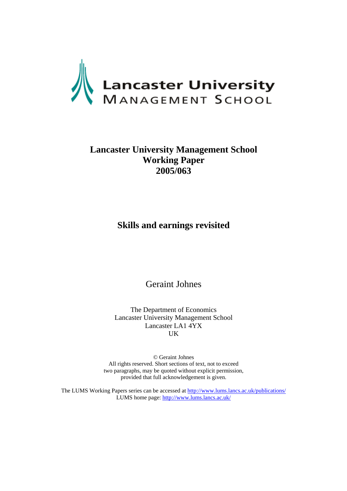

# **Lancaster University Management School Working Paper 2005/063**

## **Skills and earnings revisited**

Geraint Johnes

The Department of Economics Lancaster University Management School Lancaster LA1 4YX UK

© Geraint Johnes All rights reserved. Short sections of text, not to exceed two paragraphs, may be quoted without explicit permission, provided that full acknowledgement is given.

The LUMS Working Papers series can be accessed at<http://www.lums.lancs.ac.uk/publications/> LUMS home page: <http://www.lums.lancs.ac.uk/>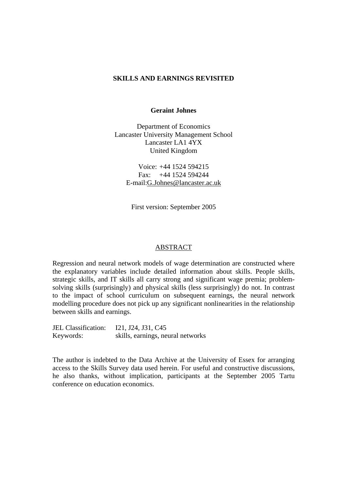#### **SKILLS AND EARNINGS REVISITED**

#### **Geraint Johnes**

Department of Economics Lancaster University Management School Lancaster LA1 4YX United Kingdom

Voice: +44 1524 594215 Fax: +44 1524 594244 E-mail:G.Johnes@lancaster.ac.uk

First version: September 2005

#### ABSTRACT

Regression and neural network models of wage determination are constructed where the explanatory variables include detailed information about skills. People skills, strategic skills, and IT skills all carry strong and significant wage premia; problemsolving skills (surprisingly) and physical skills (less surprisingly) do not. In contrast to the impact of school curriculum on subsequent earnings, the neural network modelling procedure does not pick up any significant nonlinearities in the relationship between skills and earnings.

JEL Classification: I21, J24, J31, C45 Keywords: skills, earnings, neural networks

The author is indebted to the Data Archive at the University of Essex for arranging access to the Skills Survey data used herein. For useful and constructive discussions, he also thanks, without implication, participants at the September 2005 Tartu conference on education economics.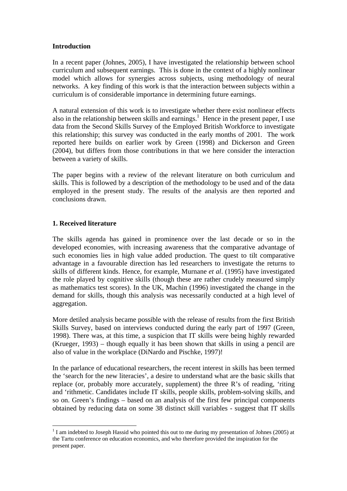### **Introduction**

In a recent paper (Johnes, 2005), I have investigated the relationship between school curriculum and subsequent earnings. This is done in the context of a highly nonlinear model which allows for synergies across subjects, using methodology of neural networks. A key finding of this work is that the interaction between subjects within a curriculum is of considerable importance in determining future earnings.

A natural extension of this work is to investigate whether there exist nonlinear effects also in the relationship between skills and earnings.<sup>1</sup> Hence in the present paper, I use data from the Second Skills Survey of the Employed British Workforce to investigate this relationship; this survey was conducted in the early months of 2001. The work reported here builds on earlier work by Green (1998) and Dickerson and Green (2004), but differs from those contributions in that we here consider the interaction between a variety of skills.

The paper begins with a review of the relevant literature on both curriculum and skills. This is followed by a description of the methodology to be used and of the data employed in the present study. The results of the analysis are then reported and conclusions drawn.

## **1. Received literature**

 $\overline{a}$ 

The skills agenda has gained in prominence over the last decade or so in the developed economies, with increasing awareness that the comparative advantage of such economies lies in high value added production. The quest to tilt comparative advantage in a favourable direction has led researchers to investigate the returns to skills of different kinds. Hence, for example, Murnane *et al*. (1995) have investigated the role played by cognitive skills (though these are rather crudely measured simply as mathematics test scores). In the UK, Machin (1996) investigated the change in the demand for skills, though this analysis was necessarily conducted at a high level of aggregation.

More detiled analysis became possible with the release of results from the first British Skills Survey, based on interviews conducted during the early part of 1997 (Green, 1998). There was, at this time, a suspicion that IT skills were being highly rewarded (Krueger, 1993) – though equally it has been shown that skills in using a pencil are also of value in the workplace (DiNardo and Pischke, 1997)!

In the parlance of educational researchers, the recent interest in skills has been termed the 'search for the new literacies', a desire to understand what are the basic skills that replace (or, probably more accurately, supplement) the three R's of reading, 'riting and 'rithmetic. Candidates include IT skills, people skills, problem-solving skills, and so on. Green's findings – based on an analysis of the first few principal components obtained by reducing data on some 38 distinct skill variables - suggest that IT skills

 $1$  I am indebted to Joseph Hassid who pointed this out to me during my presentation of Johnes (2005) at the Tartu conference on education economics, and who therefore provided the inspiration for the present paper.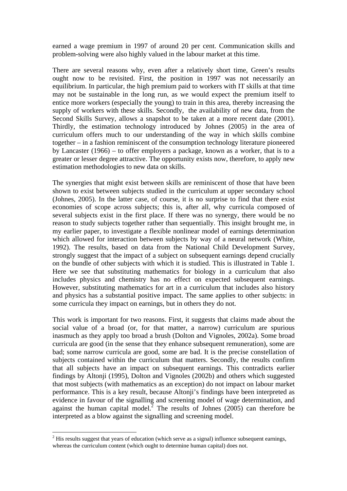earned a wage premium in 1997 of around 20 per cent. Communication skills and problem-solving were also highly valued in the labour market at this time.

There are several reasons why, even after a relatively short time, Green's results ought now to be revisited. First, the position in 1997 was not necessarily an equilibrium. In particular, the high premium paid to workers with IT skills at that time may not be sustainable in the long run, as we would expect the premium itself to entice more workers (especially the young) to train in this area, thereby increasing the supply of workers with these skills. Secondly, the availability of new data, from the Second Skills Survey, allows a snapshot to be taken at a more recent date (2001). Thirdly, the estimation technology introduced by Johnes (2005) in the area of curriculum offers much to our understanding of the way in which skills combine together – in a fashion reminiscent of the consumption technology literature pioneered by Lancaster (1966) – to offer employers a package, known as a worker, that is to a greater or lesser degree attractive. The opportunity exists now, therefore, to apply new estimation methodologies to new data on skills.

The synergies that might exist between skills are reminiscent of those that have been shown to exist between subjects studied in the curriculum at upper secondary school (Johnes, 2005). In the latter case, of course, it is no surprise to find that there exist economies of scope across subjects; this is, after all, why curricula composed of several subjects exist in the first place. If there was no synergy, there would be no reason to study subjects together rather than sequentially. This insight brought me, in my earlier paper, to investigate a flexible nonlinear model of earnings determination which allowed for interaction between subjects by way of a neural network (White, 1992). The results, based on data from the National Child Development Survey, strongly suggest that the impact of a subject on subsequent earnings depend crucially on the bundle of other subjects with which it is studied. This is illustrated in Table 1. Here we see that substituting mathematics for biology in a curriculum that also includes physics and chemistry has no effect on expected subsequent earnings. However, substituting mathematics for art in a curriculum that includes also history and physics has a substantial positive impact. The same applies to other subjects: in some curricula they impact on earnings, but in others they do not.

This work is important for two reasons. First, it suggests that claims made about the social value of a broad (or, for that matter, a narrow) curriculum are spurious inasmuch as they apply too broad a brush (Dolton and Vignoles, 2002a). Some broad curricula are good (in the sense that they enhance subsequent remuneration), some are bad; some narrow curricula are good, some are bad. It is the precise constellation of subjects contained within the curriculum that matters. Secondly, the results confirm that all subjects have an impact on subsequent earnings. This contradicts earlier findings by Altonji (1995), Dolton and Vignoles (2002b) and others which suggested that most subjects (with mathematics as an exception) do not impact on labour market performance. This is a key result, because Altonji's findings have been interpreted as evidence in favour of the signalling and screening model of wage determination, and against the human capital model.<sup>2</sup> The results of Johnes (2005) can therefore be interpreted as a blow against the signalling and screening model.

 $\overline{a}$ 

 $2<sup>2</sup>$  His results suggest that years of education (which serve as a signal) influence subsequent earnings, whereas the curriculum content (which ought to determine human capital) does not.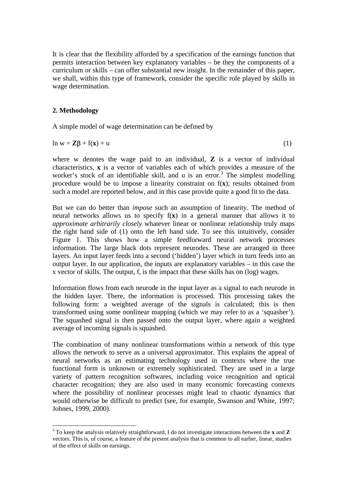It is clear that the flexibility afforded by a specification of the earnings function that permits interaction between key explanatory variables – be they the components of a curriculum or skills – can offer substantial new insight. In the remainder of this paper, we shall, within this type of framework, consider the specific role played by skills in wage determination.

### **2. Methodology**

 $\overline{a}$ 

A simple model of wage determination can be defined by

ln w = **Zβ** + f(**x**) + u (1)

where w denotes the wage paid to an individual, **Z** is a vector of individual characteristics, **x** is a vector of variables each of which provides a measure of the worker's stock of an identifiable skill, and  $u$  is an error.<sup>3</sup> The simplest modelling procedure would be to impose a linearity constraint on f(**x**); results obtained from such a model are reported below, and in this case provide quite a good fit to the data.

But we can do better than *impose* such an assumption of linearity. The method of neural networks allows us to specify f(**x**) in a general manner that allows it to *approximate arbitrarily closely* whatever linear or nonlinear relationship truly maps the right hand side of (1) onto the left hand side. To see this intuitively, consider Figure 1. This shows how a simple feedforward neural network processes information. The large black dots represent neurodes. These are arranged in three layers. An input layer feeds into a second ('hidden') layer which in turn feeds into an output layer. In our application, the inputs are explanatory variables – in this case the x vector of skills. The output, f, is the impact that these skills has on (log) wages.

Information flows from each neurode in the input layer as a signal to each neurode in the hidden layer. There, the information is processed. This processing takes the following form: a weighted average of the signals is calculated; this is then transformed using some nonlinear mapping (which we may refer to as a 'squasher'). The squashed signal is then passed onto the output layer, where again a weighted average of incoming signals is squashed.

The combination of many nonlinear transformations within a network of this type allows the network to serve as a universal approximator. This explains the appeal of neural networks as an estimating technology used in contexts where the true functional form is unknown or extremely sophisticated. They are used in a large variety of pattern recognition softwares, including voice recognition and optical character recognition; they are also used in many economic forecasting contexts where the possibility of nonlinear processes might lead to chaotic dynamics that would otherwise be difficult to predict (see, for example, Swanson and White, 1997; Johnes, 1999, 2000).

<sup>3</sup> To keep the analysis relatively straightforward, I do not investigate interactions between the **x** and **Z** vectors. This is, of course, a feature of the present analysis that is common to all earlier, linear, studies of the effect of skills on earnings.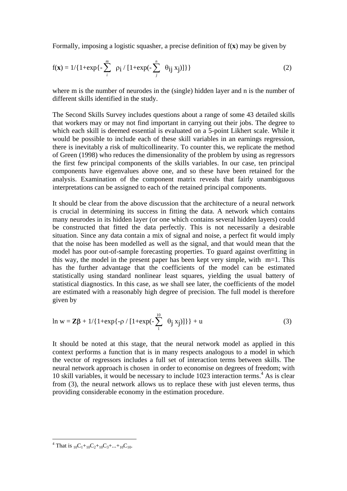Formally, imposing a logistic squasher, a precise definition of f(**x**) may be given by

$$
f(\mathbf{x}) = 1/{1 + \exp\{-\sum_{i}^{m} \rho_{i} / [1 + \exp(-\sum_{j}^{n} \theta_{ij} x_{j})]\}} \tag{2}
$$

where m is the number of neurodes in the (single) hidden layer and n is the number of different skills identified in the study.

The Second Skills Survey includes questions about a range of some 43 detailed skills that workers may or may not find important in carrying out their jobs. The degree to which each skill is deemed essential is evaluated on a 5-point Likhert scale. While it would be possible to include each of these skill variables in an earnings regression, there is inevitably a risk of multicollinearity. To counter this, we replicate the method of Green (1998) who reduces the dimensionality of the problem by using as regressors the first few principal components of the skills variables. In our case, ten principal components have eigenvalues above one, and so these have been retained for the analysis. Examination of the component matrix reveals that fairly unambiguous interpretations can be assigned to each of the retained principal components.

It should be clear from the above discussion that the architecture of a neural network is crucial in determining its success in fitting the data. A network which contains many neurodes in its hidden layer (or one which contains several hidden layers) could be constructed that fitted the data perfectly. This is not necessarily a desirable situation. Since any data contain a mix of signal and noise, a perfect fit would imply that the noise has been modelled as well as the signal, and that would mean that the model has poor out-of-sample forecasting properties. To guard against overfitting in this way, the model in the present paper has been kept very simple, with  $m=1$ . This has the further advantage that the coefficients of the model can be estimated statistically using standard nonlinear least squares, yielding the usual battery of statistical diagnostics. In this case, as we shall see later, the coefficients of the model are estimated with a reasonably high degree of precision. The full model is therefore given by

$$
\ln w = \mathbf{Z}\beta + 1/\{1 + \exp\{-\rho / [1 + \exp(-\sum_{1}^{10} \theta_j x_j)]\}\} + u
$$
 (3)

It should be noted at this stage, that the neural network model as applied in this context performs a function that is in many respects analogous to a model in which the vector of regressors includes a full set of interaction terms between skills. The neural network approach is chosen in order to economise on degrees of freedom; with 10 skill variables, it would be necessary to include 1023 interaction terms.<sup>4</sup> As is clear from (3), the neural network allows us to replace these with just eleven terms, thus providing considerable economy in the estimation procedure.

<sup>&</sup>lt;sup>4</sup> That is <sub>10</sub>C<sub>1</sub>+<sub>10</sub>C<sub>2</sub>+<sub>10</sub>C<sub>3</sub>+...+<sub>10</sub>C<sub>10</sub>.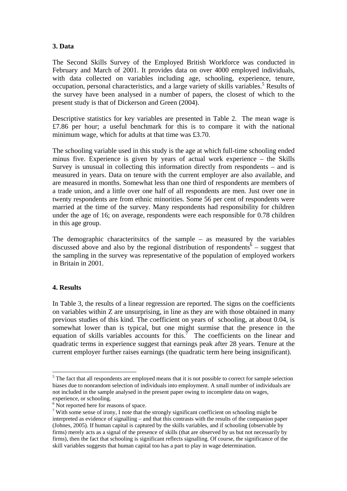## **3. Data**

The Second Skills Survey of the Employed British Workforce was conducted in February and March of 2001. It provides data on over 4000 employed individuals, with data collected on variables including age, schooling, experience, tenure, occupation, personal characteristics, and a large variety of skills variables.<sup>5</sup> Results of the survey have been analysed in a number of papers, the closest of which to the present study is that of Dickerson and Green (2004).

Descriptive statistics for key variables are presented in Table 2. The mean wage is £7.86 per hour; a useful benchmark for this is to compare it with the national minimum wage, which for adults at that time was £3.70.

The schooling variable used in this study is the age at which full-time schooling ended minus five. Experience is given by years of actual work experience – the Skills Survey is unusual in collecting this information directly from respondents – and is measured in years. Data on tenure with the current employer are also available, and are measured in months. Somewhat less than one third of respondents are members of a trade union, and a little over one half of all respondents are men. Just over one in twenty respondents are from ethnic minorities. Some 56 per cent of respondents were married at the time of the survey. Many respondents had responsibility for children under the age of 16; on average, respondents were each responsible for 0.78 children in this age group.

The demographic characteritsitcs of the sample – as measured by the variables discussed above and also by the regional distribution of respondents  $\delta$  – suggest that the sampling in the survey was representative of the population of employed workers in Britain in 2001.

### **4. Results**

 $\overline{a}$ 

In Table 3, the results of a linear regression are reported. The signs on the coefficients on variables within Z are unsurprising, in line as they are with those obtained in many previous studies of this kind. The coefficient on years of schooling, at about 0.04, is somewhat lower than is typical, but one might surmise that the presence in the equation of skills variables accounts for this.<sup>7</sup> The coefficients on the linear and quadratic terms in experience suggest that earnings peak after 28 years. Tenure at the current employer further raises earnings (the quadratic term here being insignificant).

 $<sup>5</sup>$  The fact that all respondents are employed means that it is not possible to correct for sample selection</sup> biases due to nonrandom selection of individuals into employment. A small number of individuals are not included in the sample analysed in the present paper owing to incomplete data on wages, experience, or schooling.

<sup>&</sup>lt;sup>6</sup> Not reported here for reasons of space.

 $7$  With some sense of irony, I note that the strongly significant coefficient on schooling might be interpreted as evidence of signalling – and that this contrasts with the results of the companion paper (Johnes, 2005). If human capital is captured by the skills variables, and if schooling (observable by firms) merely acts as a signal of the presence of skills (that are observed by us but not necessarily by firms), then the fact that schooling is significant reflects signalling. Of course, the significance of the skill variables suggests that human capital too has a part to play in wage determination.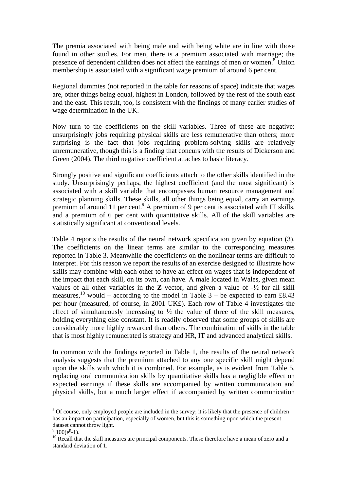The premia associated with being male and with being white are in line with those found in other studies. For men, there is a premium associated with marriage; the presence of dependent children does not affect the earnings of men or women.<sup>8</sup> Union membership is associated with a significant wage premium of around 6 per cent.

Regional dummies (not reported in the table for reasons of space) indicate that wages are, other things being equal, highest in London, followed by the rest of the south east and the east. This result, too, is consistent with the findings of many earlier studies of wage determination in the UK.

Now turn to the coefficients on the skill variables. Three of these are negative: unsurprisingly jobs requiring physical skills are less remunerative than others; more surprising is the fact that jobs requiring problem-solving skills are relatively unremunerative, though this is a finding that concurs with the results of Dickerson and Green (2004). The third negative coefficient attaches to basic literacy.

Strongly positive and significant coefficients attach to the other skills identified in the study. Unsurprisingly perhaps, the highest coefficient (and the most significant) is associated with a skill variable that encompasses human resource management and strategic planning skills. These skills, all other things being equal, carry an earnings premium of around 11 per cent.<sup>9</sup> A premium of 9 per cent is associated with IT skills, and a premium of 6 per cent with quantitative skills. All of the skill variables are statistically significant at conventional levels.

Table 4 reports the results of the neural network specification given by equation (3). The coefficients on the linear terms are similar to the corresponding measures reported in Table 3. Meanwhile the coefficients on the nonlinear terms are difficult to interpret. For this reason we report the results of an exercise designed to illustrate how skills may combine with each other to have an effect on wages that is independent of the impact that each skill, on its own, can have. A male located in Wales, given mean values of all other variables in the **Z** vector, and given a value of -½ for all skill measures,<sup>10</sup> would – according to the model in Table 3 – be expected to earn £8.43 per hour (measured, of course, in 2001 UK£). Each row of Table 4 investigates the effect of simultaneously increasing to  $\frac{1}{2}$  the value of three of the skill measures, holding everything else constant. It is readily observed that some groups of skills are considerably more highly rewarded than others. The combination of skills in the table that is most highly remunerated is strategy and HR, IT and advanced analytical skills.

In common with the findings reported in Table 1, the results of the neural network analysis suggests that the premium attached to any one specific skill might depend upon the skills with which it is combined. For example, as is evident from Table 5, replacing oral communication skills by quantitative skills has a negligible effect on expected earnings if these skills are accompanied by written communication and physical skills, but a much larger effect if accompanied by written communication

 $\overline{a}$ 

 $8$  Of course, only employed people are included in the survey; it is likely that the presence of children has an impact on participation, especially of women, but this is something upon which the present dataset cannot throw light.

 $9\overline{100}$ (e<sup> $\beta$ </sup>

 $^{10}$  Recall that the skill measures are principal components. These therefore have a mean of zero and a standard deviation of 1.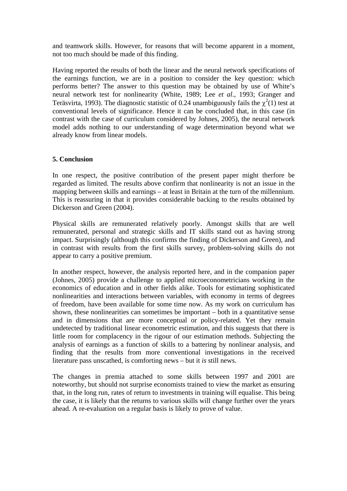and teamwork skills. However, for reasons that will become apparent in a moment, not too much should be made of this finding.

Having reported the results of both the linear and the neural network specifications of the earnings function, we are in a position to consider the key question: which performs better? The answer to this question may be obtained by use of White's neural network test for nonlinearity (White, 1989; Lee *et al*., 1993; Granger and Teräsvirta, 1993). The diagnostic statistic of 0.24 unambiguously fails the  $\chi^2(1)$  test at conventional levels of significance. Hence it can be concluded that, in this case (in contrast with the case of curriculum considered by Johnes, 2005), the neural network model adds nothing to our understanding of wage determination beyond what we already know from linear models.

### **5. Conclusion**

In one respect, the positive contribution of the present paper might therfore be regarded as limited. The results above confirm that nonlinearity is not an issue in the mapping between skills and earnings – at least in Britain at the turn of the millennium. This is reassuring in that it provides considerable backing to the results obtained by Dickerson and Green (2004).

Physical skills are remunerated relatively poorly. Amongst skills that are well remunerated, personal and strategic skills and IT skills stand out as having strong impact. Surprisingly (although this confirms the finding of Dickerson and Green), and in contrast with results from the first skills survey, problem-solving skills do not appear to carry a positive premium.

In another respect, however, the analysis reported here, and in the companion paper (Johnes, 2005) provide a challenge to applied microeconometricians working in the economics of education and in other fields alike. Tools for estimating sophisticated nonlinearities and interactions between variables, with economy in terms of degrees of freedom, have been available for some time now. As my work on curriculum has shown, these nonlinearities can sometimes be important – both in a quantitative sense and in dimensions that are more conceptual or policy-related. Yet they remain undetected by traditional linear econometric estimation, and this suggests that there is little room for complacency in the rigour of our estimation methods. Subjecting the analysis of earnings as a function of skills to a battering by nonlinear analysis, and finding that the results from more conventional investigations in the received literature pass unscathed, is comforting news – but it *is* still news.

The changes in premia attached to some skills between 1997 and 2001 are noteworthy, but should not surprise economists trained to view the market as ensuring that, in the long run, rates of return to investments in training will equalise. This being the case, it is likely that the returns to various skills will change further over the years ahead. A re-evaluation on a regular basis is likely to prove of value.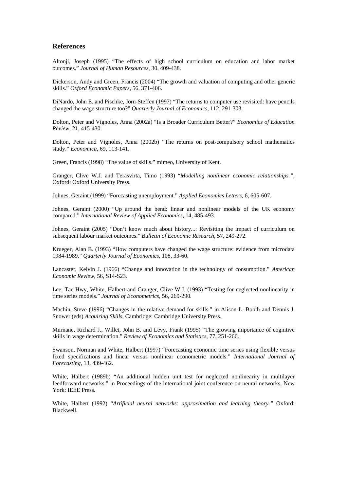#### **References**

Altonji, Joseph (1995) "The effects of high school curriculum on education and labor market outcomes." *Journal of Human Resources*, 30, 409-438.

Dickerson, Andy and Green, Francis (2004) "The growth and valuation of computing and other generic skills." *Oxford Economic Papers*, 56, 371-406.

DiNardo, John E. and Pischke, Jörn-Steffen (1997) "The returns to computer use revisited: have pencils changed the wage structure too?" *Quarterly Journal of Economics*, 112, 291-303.

Dolton, Peter and Vignoles, Anna (2002a) "Is a Broader Curriculum Better?" *Economics of Education Review*, 21, 415-430.

Dolton, Peter and Vignoles, Anna (2002b) "The returns on post-compulsory school mathematics study." *Economica*, 69, 113-141.

Green, Francis (1998) "The value of skills." mimeo, University of Kent.

Granger, Clive W.J. and Teräsvirta, Timo (1993) "*Modelling nonlinear economic relationships."*, Oxford: Oxford University Press.

Johnes, Geraint (1999) "Forecasting unemployment." *Applied Economics Letters*, 6, 605-607.

Johnes, Geraint (2000) "Up around the bend: linear and nonlinear models of the UK economy compared." *International Review of Applied Economics*, 14, 485-493.

Johnes, Geraint (2005) "Don't know much about history...: Revisiting the impact of curriculum on subsequent labour market outcomes." *Bulletin of Economic Research*, 57, 249-272.

Krueger, Alan B. (1993) "How computers have changed the wage structure: evidence from microdata 1984-1989." *Quarterly Journal of Economics*, 108, 33-60.

Lancaster, Kelvin J. (1966) "Change and innovation in the technology of consumption." *American Economic Review*, 56, S14-S23.

Lee, Tae-Hwy, White, Halbert and Granger, Clive W.J. (1993) "Testing for neglected nonlinearity in time series models." *Journal of Econometrics*, 56, 269-290.

Machin, Steve (1996) "Changes in the relative demand for skills." in Alison L. Booth and Dennis J. Snower (eds) *Acquiring Skills*, Cambridge: Cambridge University Press.

Murnane, Richard J., Willet, John B. and Levy, Frank (1995) "The growing importance of cognitive skills in wage determination." *Review of Economics and Statistics*, 77, 251-266.

Swanson, Norman and White, Halbert (1997) "Forecasting economic time series using flexible versus fixed specifications and linear versus nonlinear econometric models." *International Journal of Forecasting*, 13, 439-462.

White, Halbert (1989b) "An additional hidden unit test for neglected nonlinearity in multilayer feedforward networks." in Proceedings of the international joint conference on neural networks, New York: IEEE Press.

White, Halbert (1992) "*Artificial neural networks: approximation and learning theory."* Oxford: Blackwell.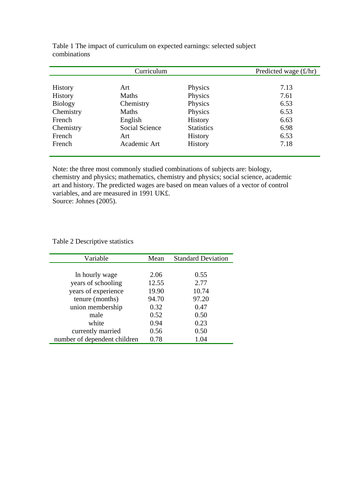|                | Curriculum     |                   | Predicted wage $(f/hr)$ |
|----------------|----------------|-------------------|-------------------------|
|                |                |                   |                         |
| <b>History</b> | Art            | Physics           | 7.13                    |
| <b>History</b> | <b>Maths</b>   | Physics           | 7.61                    |
| <b>Biology</b> | Chemistry      | Physics           | 6.53                    |
| Chemistry      | <b>Maths</b>   | Physics           | 6.53                    |
| French         | English        | <b>History</b>    | 6.63                    |
| Chemistry      | Social Science | <b>Statistics</b> | 6.98                    |
| French         | Art            | <b>History</b>    | 6.53                    |
| French         | Academic Art   | <b>History</b>    | 7.18                    |

Table 1 The impact of curriculum on expected earnings: selected subject combinations

Note: the three most commonly studied combinations of subjects are: biology, chemistry and physics; mathematics, chemistry and physics; social science, academic art and history. The predicted wages are based on mean values of a vector of control variables, and are measured in 1991 UK£. Source: Johnes (2005).

## Table 2 Descriptive statistics

| Variable                     | Mean  | <b>Standard Deviation</b> |
|------------------------------|-------|---------------------------|
|                              |       |                           |
| In hourly wage               | 2.06  | 0.55                      |
| years of schooling           | 12.55 | 2.77                      |
| years of experience          | 19.90 | 10.74                     |
| tenure (months)              | 94.70 | 97.20                     |
| union membership             | 0.32  | 0.47                      |
| male                         | 0.52  | 0.50                      |
| white                        | 0.94  | 0.23                      |
| currently married            | 0.56  | 0.50                      |
| number of dependent children | 0.78  | 1.04                      |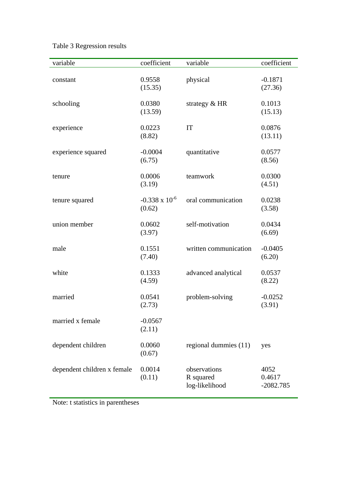| Table 3 Regression results |  |
|----------------------------|--|
|----------------------------|--|

| variable                    | coefficient                       | variable                                    | coefficient                   |
|-----------------------------|-----------------------------------|---------------------------------------------|-------------------------------|
| constant                    | 0.9558<br>(15.35)                 | physical                                    | $-0.1871$<br>(27.36)          |
| schooling                   | 0.0380<br>(13.59)                 | strategy $& HR$                             | 0.1013<br>(15.13)             |
| experience                  | 0.0223<br>(8.82)                  | IT                                          | 0.0876<br>(13.11)             |
| experience squared          | $-0.0004$<br>(6.75)               | quantitative                                | 0.0577<br>(8.56)              |
| tenure                      | 0.0006<br>(3.19)                  | teamwork                                    | 0.0300<br>(4.51)              |
| tenure squared              | $-0.338 \times 10^{-6}$<br>(0.62) | oral communication                          | 0.0238<br>(3.58)              |
| union member                | 0.0602<br>(3.97)                  | self-motivation                             | 0.0434<br>(6.69)              |
| male                        | 0.1551<br>(7.40)                  | written communication                       | $-0.0405$<br>(6.20)           |
| white                       | 0.1333<br>(4.59)                  | advanced analytical                         | 0.0537<br>(8.22)              |
| married                     | 0.0541<br>(2.73)                  | problem-solving                             | $-0.0252$<br>(3.91)           |
| married x female            | $-0.0567$<br>(2.11)               |                                             |                               |
| dependent children          | 0.0060<br>(0.67)                  | regional dummies (11)                       | yes                           |
| dependent children x female | 0.0014<br>(0.11)                  | observations<br>R squared<br>log-likelihood | 4052<br>0.4617<br>$-2082.785$ |

Note: t statistics in parentheses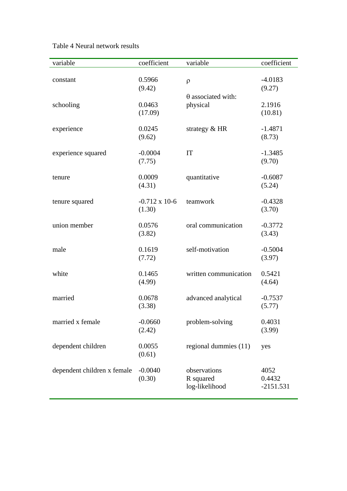Table 4 Neural network results

| variable                    | coefficient          | variable                  | coefficient |
|-----------------------------|----------------------|---------------------------|-------------|
|                             |                      |                           |             |
| constant                    | 0.5966               | $\rho$                    | $-4.0183$   |
|                             | (9.42)               |                           | (9.27)      |
|                             |                      | $\theta$ associated with: |             |
| schooling                   | 0.0463               | physical                  | 2.1916      |
|                             | (17.09)              |                           | (10.81)     |
|                             |                      |                           |             |
| experience                  | 0.0245               | strategy $& HR$           | $-1.4871$   |
|                             | (9.62)               |                           | (8.73)      |
| experience squared          | $-0.0004$            | IT                        | $-1.3485$   |
|                             | (7.75)               |                           | (9.70)      |
|                             |                      |                           |             |
| tenure                      | 0.0009               | quantitative              | $-0.6087$   |
|                             | (4.31)               |                           | (5.24)      |
|                             |                      |                           |             |
| tenure squared              | $-0.712 \times 10-6$ | teamwork                  | $-0.4328$   |
|                             | (1.30)               |                           | (3.70)      |
|                             |                      |                           |             |
| union member                | 0.0576               | oral communication        | $-0.3772$   |
|                             | (3.82)               |                           | (3.43)      |
| male                        | 0.1619               | self-motivation           | $-0.5004$   |
|                             | (7.72)               |                           | (3.97)      |
|                             |                      |                           |             |
| white                       | 0.1465               | written communication     | 0.5421      |
|                             | (4.99)               |                           | (4.64)      |
|                             |                      |                           |             |
| married                     | 0.0678               | advanced analytical       | $-0.7537$   |
|                             | (3.38)               |                           | (5.77)      |
|                             |                      |                           |             |
| married x female            | $-0.0660$            | problem-solving           | 0.4031      |
|                             | (2.42)               |                           | (3.99)      |
| dependent children          | 0.0055               | regional dummies (11)     | yes         |
|                             | (0.61)               |                           |             |
|                             |                      |                           |             |
| dependent children x female | $-0.0040$            | observations              | 4052        |
|                             | (0.30)               | R squared                 | 0.4432      |
|                             |                      | log-likelihood            | $-2151.531$ |
|                             |                      |                           |             |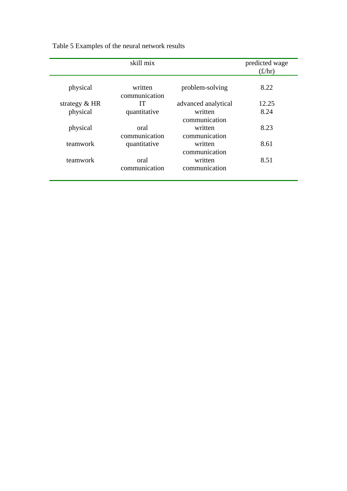|                 | skill mix                |                                           | predicted wage<br>$(\text{\pounds}/\text{hr})$ |
|-----------------|--------------------------|-------------------------------------------|------------------------------------------------|
| physical        | written<br>communication | problem-solving                           | 8.22                                           |
| strategy $& HR$ | IТ                       | advanced analytical                       | 12.25                                          |
| physical        | quantitative             | written                                   | 8.24                                           |
| physical        | oral<br>communication    | communication<br>written<br>communication | 8.23                                           |
| teamwork        | quantitative             | written<br>communication                  | 8.61                                           |
| teamwork        | oral<br>communication    | written<br>communication                  | 8.51                                           |

Table 5 Examples of the neural network results